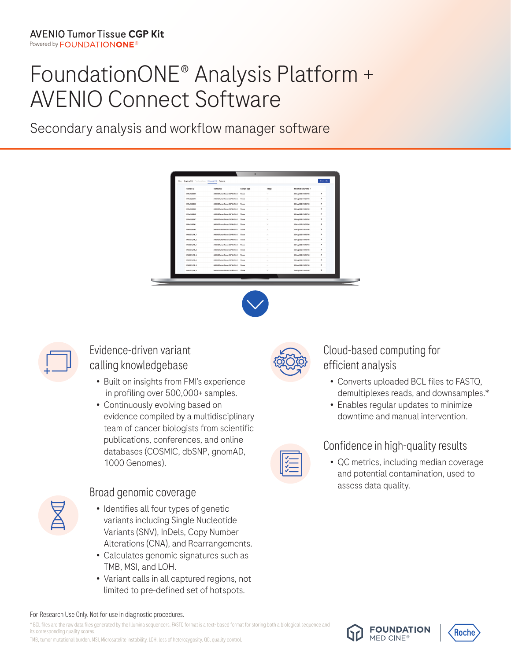# FoundationONE® Analysis Platform + AVENIO Connect Software

Secondary analysis and workflow manager software

| Sample ID         | Test name                         | Sample type | Flags           | Modified date/time + |               |
|-------------------|-----------------------------------|-------------|-----------------|----------------------|---------------|
| FM1420.0092       | AVENIO Tumor Tissue CGP kit-1.6.0 | Tissue      | ×               | 03-Aug-2021 10:35 PM | $\rightarrow$ |
| FM1420_0094       | AVENIO Tumor Tissue CGP kit-1.0.0 | Tissue      |                 | 03 Aug 2021 10:35 PM | $\lambda$     |
| FM lz20, 0093     | AVENIO Tumor Tissue CGP kit-1.0.0 | Tissue      | $\sim$          | 03-Aug-2021 10:35 PM | $\,$          |
| FM1a20_0090       | AVENIO Tumor Tissue CGP kit-1.0.0 | Tissue      | $\sim$          | 03-Aug-2021 10:35 PM | $\rightarrow$ |
| FM is 20,0095     | AVENIO Tumor Tissue CCP kit-1.0.0 | Tissue      | $\sim$          | 03 Aug 2021 10:35 PM | $\rightarrow$ |
| FM1620.0097       | AVENIO Tumor Tissue CGP kit-1.0.0 | Tissue      | <b>A</b>        | 03-Aug-2021 10:35 PM | $\lambda$     |
| FM1x20_0091       | AVENIO Tumor Tissue COP kit-1.0.0 | Tissue      | ×.              | 03 Aug 2021 10:35 PM | $\rightarrow$ |
| FM is 20,0006     | AVENIO Tumor Tissue COP kit-1.0.0 | Tissue      | $\sim$          | 03 Aug 2021 10:35 PM | $\,$          |
| PRODUCEL FIALLY   | AVENIO Tumor Tissue OSP kit-1.0.0 | Tissue      | $\sim$          | 03-Aug-2021 10:15 PM | $\rightarrow$ |
| <b>PRODUCTML2</b> | AVENIO Tumor Tissue CCP kit-1.0.0 | Tissue      | ×               | 03 Aug 2021 10:15 PM | $\lambda$     |
| PRODUCTIL/TML1    | AVENIO Tumor Tissue CGP kit-1.0.0 | Tissue      | $\sim$          | 03-Aug-2021 10:15 PM | $\,$          |
| PRODUCER, FML B   | AVENIO Tumor Tissue CGP kit-1.0.0 | Tissue      | $\sim$          | 03-Aug-2021 10:15 PM | $\rightarrow$ |
| PROCES JTML.6     | AVENIO Tumor Tissue CCP kit-1.0.0 | Tissue      | $\mathcal{A}$ . | 03 Aug 2021 10:15 PM | $\lambda$     |
| PRODUCELS         | AVENIO Tumor Tissue CGP kit-1.0.0 | Tissue      | in 1            | 03-Aug-2021 10:15 PM | $\,$          |
| PRODUCER_PML3     | AVENIO Tumor Tissue COP kit-1.0.0 | Tissue      | $\alpha$        | 03-Aug-2021 10:15 PM | $\rightarrow$ |
| PRODUCER, FMLA    | AVENIO Tumor Tissue CGP kit-1.0.0 | Tissue      | $\sim$          | 03-Aug-2021 10:15 PM | $\,$          |





#### Evidence-driven variant calling knowledgebase

- Built on insights from FMI's experience in profiling over 500,000+ samples.
- Continuously evolving based on evidence compiled by a multidisciplinary team of cancer biologists from scientific publications, conferences, and online databases (COSMIC, dbSNP, gnomAD, 1000 Genomes).



#### Broad genomic coverage

- Identifies all four types of genetic variants including Single Nucleotide Variants (SNV), InDels, Copy Number Alterations (CNA), and Rearrangements.
- Calculates genomic signatures such as TMB, MSI, and LOH.
- Variant calls in all captured regions, not limited to pre-defined set of hotspots.



#### Cloud-based computing for efficient analysis

- Converts uploaded BCL files to FASTQ, demultiplexes reads, and downsamples.\*
- Enables regular updates to minimize downtime and manual intervention.

#### Confidence in high-quality results

• QC metrics, including median coverage and potential contamination, used to assess data quality.



\* BCL files are the raw data files generated by the Illumina sequencers. FASTQ format is a text- based format for storing both a biological sequence and its corresponding quality scores.